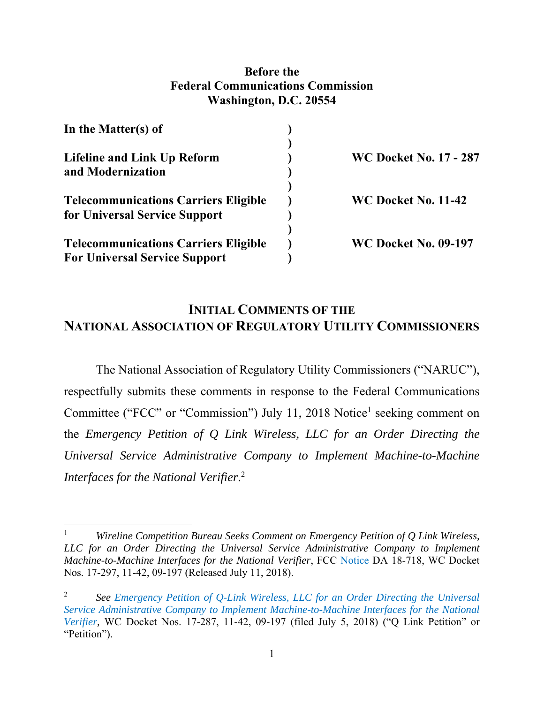## **Before the Federal Communications Commission Washington, D.C. 20554**

| In the Matter(s) of                                                                 |                               |
|-------------------------------------------------------------------------------------|-------------------------------|
| <b>Lifeline and Link Up Reform</b><br>and Modernization                             | <b>WC Docket No. 17 - 287</b> |
| <b>Telecommunications Carriers Eligible</b><br>for Universal Service Support        | WC Docket No. 11-42           |
| <b>Telecommunications Carriers Eligible</b><br><b>For Universal Service Support</b> | <b>WC Docket No. 09-197</b>   |

# **INITIAL COMMENTS OF THE NATIONAL ASSOCIATION OF REGULATORY UTILITY COMMISSIONERS**

The National Association of Regulatory Utility Commissioners ("NARUC"), respectfully submits these comments in response to the Federal Communications Committee ("FCC" or "Commission") July 11, 2018 Notice<sup>1</sup> seeking comment on the *Emergency Petition of Q Link Wireless, LLC for an Order Directing the Universal Service Administrative Company to Implement Machine-to-Machine Interfaces for the National Verifier*. 2

<sup>1</sup> *Wireline Competition Bureau Seeks Comment on Emergency Petition of Q Link Wireless, LLC for an Order Directing the Universal Service Administrative Company to Implement Machine-to-Machine Interfaces for the National Verifier*, FCC Notice DA 18-718, WC Docket Nos. 17-297, 11-42, 09-197 (Released July 11, 2018).

<sup>2</sup> *See Emergency Petition of Q-Link Wireless, LLC for an Order Directing the Universal Service Administrative Company to Implement Machine-to-Machine Interfaces for the National Verifier,* WC Docket Nos. 17-287, 11-42, 09-197 (filed July 5, 2018) ("Q Link Petition" or "Petition").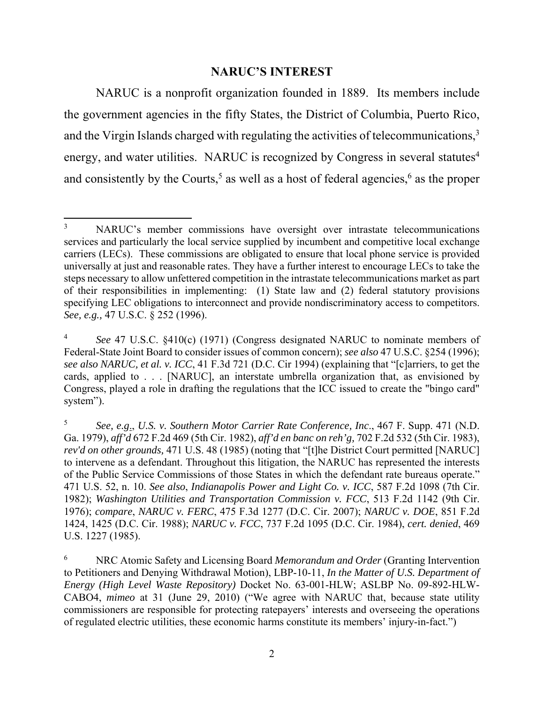### **NARUC'S INTEREST**

NARUC is a nonprofit organization founded in 1889. Its members include the government agencies in the fifty States, the District of Columbia, Puerto Rico, and the Virgin Islands charged with regulating the activities of telecommunications,<sup>3</sup> energy, and water utilities. NARUC is recognized by Congress in several statutes<sup>4</sup> and consistently by the Courts,<sup>5</sup> as well as a host of federal agencies,<sup>6</sup> as the proper

 3 NARUC's member commissions have oversight over intrastate telecommunications services and particularly the local service supplied by incumbent and competitive local exchange carriers (LECs). These commissions are obligated to ensure that local phone service is provided universally at just and reasonable rates. They have a further interest to encourage LECs to take the steps necessary to allow unfettered competition in the intrastate telecommunications market as part of their responsibilities in implementing: (1) State law and (2) federal statutory provisions specifying LEC obligations to interconnect and provide nondiscriminatory access to competitors. *See, e.g.,* 47 U.S.C. § 252 (1996).

<sup>4</sup> *See* 47 U.S.C. §410(c) (1971) (Congress designated NARUC to nominate members of Federal-State Joint Board to consider issues of common concern); *see also* 47 U.S.C. §254 (1996); *see also NARUC, et al. v. ICC*, 41 F.3d 721 (D.C. Cir 1994) (explaining that "[c]arriers, to get the cards, applied to . . . [NARUC], an interstate umbrella organization that, as envisioned by Congress, played a role in drafting the regulations that the ICC issued to create the "bingo card" system").

<sup>5</sup> *See, e.g*., *U.S. v. Southern Motor Carrier Rate Conference, Inc*., 467 F. Supp. 471 (N.D. Ga. 1979), *aff'd* 672 F.2d 469 (5th Cir. 1982), *aff'd en banc on reh'g,* 702 F.2d 532 (5th Cir. 1983), *rev'd on other grounds,* 471 U.S. 48 (1985) (noting that "[t]he District Court permitted [NARUC] to intervene as a defendant. Throughout this litigation, the NARUC has represented the interests of the Public Service Commissions of those States in which the defendant rate bureaus operate." 471 U.S. 52, n. 10. *See also*, *Indianapolis Power and Light Co. v. ICC*, 587 F.2d 1098 (7th Cir. 1982); *Washington Utilities and Transportation Commission v. FCC*, 513 F.2d 1142 (9th Cir. 1976); *compare*, *NARUC v. FERC*, 475 F.3d 1277 (D.C. Cir. 2007); *NARUC v. DOE*, 851 F.2d 1424, 1425 (D.C. Cir. 1988); *NARUC v. FCC*, 737 F.2d 1095 (D.C. Cir. 1984), *cert. denied*, 469 U.S. 1227 (1985).

<sup>6</sup> NRC Atomic Safety and Licensing Board *Memorandum and Order* (Granting Intervention to Petitioners and Denying Withdrawal Motion), LBP-10-11, *In the Matter of U.S. Department of Energy (High Level Waste Repository)* Docket No. 63-001-HLW; ASLBP No. 09-892-HLW-CABO4, *mimeo* at 31 (June 29, 2010) ("We agree with NARUC that, because state utility commissioners are responsible for protecting ratepayers' interests and overseeing the operations of regulated electric utilities, these economic harms constitute its members' injury-in-fact.")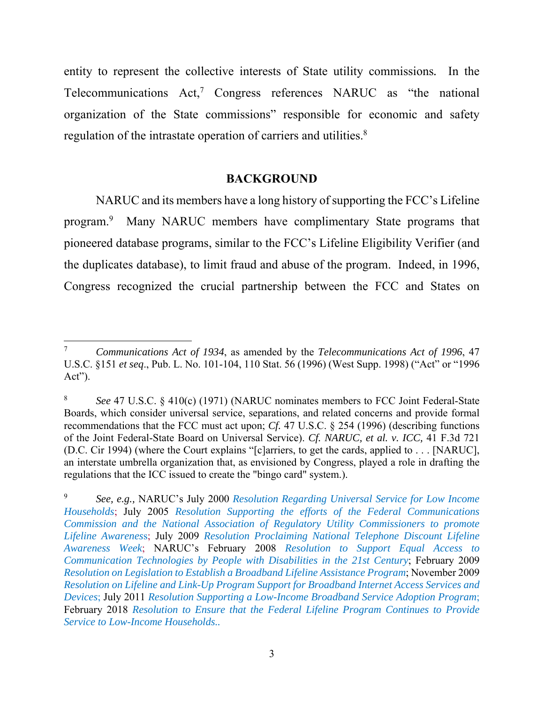entity to represent the collective interests of State utility commissions*.* In the Telecommunications  $Act<sub>1</sub><sup>7</sup>$  Congress references NARUC as "the national organization of the State commissions" responsible for economic and safety regulation of the intrastate operation of carriers and utilities.<sup>8</sup>

### **BACKGROUND**

NARUC and its members have a long history of supporting the FCC's Lifeline program.<sup>9</sup> Many NARUC members have complimentary State programs that pioneered database programs, similar to the FCC's Lifeline Eligibility Verifier (and the duplicates database), to limit fraud and abuse of the program. Indeed, in 1996, Congress recognized the crucial partnership between the FCC and States on

<sup>7</sup>  *Communications Act of 1934*, as amended by the *Telecommunications Act of 1996*, 47 U.S.C. §151 *et seq*., Pub. L. No. 101-104, 110 Stat. 56 (1996) (West Supp. 1998) ("Act" or "1996 Act").

<sup>8</sup>  *See* 47 U.S.C. § 410(c) (1971) (NARUC nominates members to FCC Joint Federal-State Boards, which consider universal service, separations, and related concerns and provide formal recommendations that the FCC must act upon; *Cf.* 47 U.S.C. § 254 (1996) (describing functions of the Joint Federal-State Board on Universal Service). *Cf. NARUC, et al. v. ICC,* 41 F.3d 721 (D.C. Cir 1994) (where the Court explains "[c]arriers, to get the cards, applied to . . . [NARUC], an interstate umbrella organization that, as envisioned by Congress, played a role in drafting the regulations that the ICC issued to create the "bingo card" system.).

<sup>9</sup> *See, e.g.,* NARUC's July 2000 *Resolution Regarding Universal Service for Low Income Households*; July 2005 *Resolution Supporting the efforts of the Federal Communications Commission and the National Association of Regulatory Utility Commissioners to promote Lifeline Awarenes*s; July 2009 *Resolution Proclaiming National Telephone Discount Lifeline Awareness Week*; NARUC's February 2008 *Resolution to Support Equal Access to Communication Technologies by People with Disabilities in the 21st Century*; February 2009 *Resolution on Legislation to Establish a Broadband Lifeline Assistance Program*; November 2009 *Resolution on Lifeline and Link-Up Program Support for Broadband Internet Access Services and Devices*; July 2011 *Resolution Supporting a Low-Income Broadband Service Adoption Program*; February 2018 *Resolution to Ensure that the Federal Lifeline Program Continues to Provide Service to Low-Income Households..*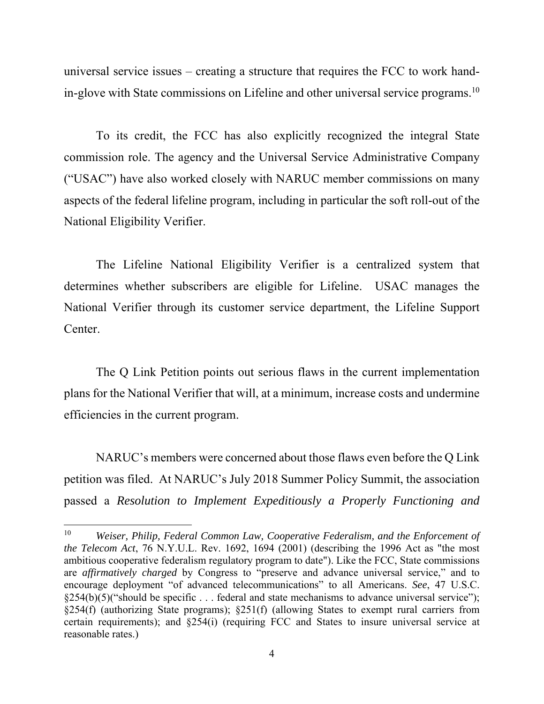universal service issues – creating a structure that requires the FCC to work handin-glove with State commissions on Lifeline and other universal service programs.<sup>10</sup>

To its credit, the FCC has also explicitly recognized the integral State commission role. The agency and the Universal Service Administrative Company ("USAC") have also worked closely with NARUC member commissions on many aspects of the federal lifeline program, including in particular the soft roll-out of the National Eligibility Verifier.

The Lifeline National Eligibility Verifier is a centralized system that determines whether subscribers are eligible for Lifeline. USAC manages the National Verifier through its customer service department, the Lifeline Support Center.

The Q Link Petition points out serious flaws in the current implementation plans for the National Verifier that will, at a minimum, increase costs and undermine efficiencies in the current program.

NARUC's members were concerned about those flaws even before the Q Link petition was filed. At NARUC's July 2018 Summer Policy Summit, the association passed a *Resolution to Implement Expeditiously a Properly Functioning and* 

<sup>10</sup> *Weiser, Philip, Federal Common Law, Cooperative Federalism, and the Enforcement of the Telecom Act*, 76 N.Y.U.L. Rev. 1692, 1694 (2001) (describing the 1996 Act as "the most ambitious cooperative federalism regulatory program to date"). Like the FCC, State commissions are *affirmatively charged* by Congress to "preserve and advance universal service," and to encourage deployment "of advanced telecommunications" to all Americans. *See*, 47 U.S.C. §254(b)(5)("should be specific . . . federal and state mechanisms to advance universal service"); §254(f) (authorizing State programs); §251(f) (allowing States to exempt rural carriers from certain requirements); and §254(i) (requiring FCC and States to insure universal service at reasonable rates.)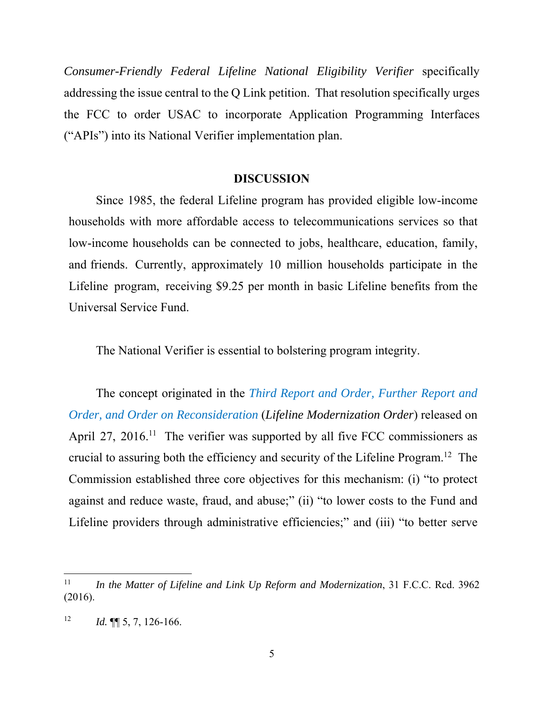*Consumer-Friendly Federal Lifeline National Eligibility Verifier* specifically addressing the issue central to the Q Link petition. That resolution specifically urges the FCC to order USAC to incorporate Application Programming Interfaces ("APIs") into its National Verifier implementation plan.

#### **DISCUSSION**

 Since 1985, the federal Lifeline program has provided eligible low-income households with more affordable access to telecommunications services so that low-income households can be connected to jobs, healthcare, education, family, and friends. Currently, approximately 10 million households participate in the Lifeline program, receiving \$9.25 per month in basic Lifeline benefits from the Universal Service Fund.

The National Verifier is essential to bolstering program integrity.

The concept originated in the *Third Report and Order, Further Report and Order, and Order on Reconsideration* (*Lifeline Modernization Order*) released on April 27, 2016.<sup>11</sup> The verifier was supported by all five FCC commissioners as crucial to assuring both the efficiency and security of the Lifeline Program.12 The Commission established three core objectives for this mechanism: (i) "to protect against and reduce waste, fraud, and abuse;" (ii) "to lower costs to the Fund and Lifeline providers through administrative efficiencies;" and (iii) "to better serve

<sup>11</sup> *In the Matter of Lifeline and Link Up Reform and Modernization*, 31 F.C.C. Rcd. 3962 (2016).

<sup>&</sup>lt;sup>12</sup> *Id.*  $\P\P$  5, 7, 126-166.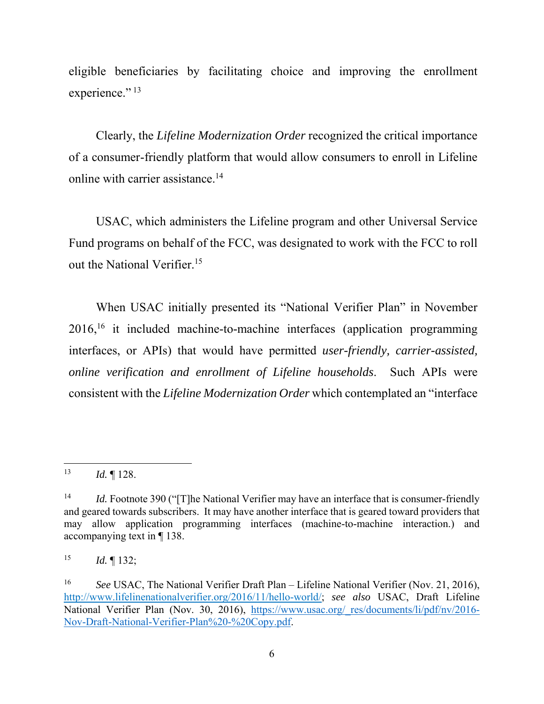eligible beneficiaries by facilitating choice and improving the enrollment experience." $^{13}$ 

Clearly, the *Lifeline Modernization Order* recognized the critical importance of a consumer-friendly platform that would allow consumers to enroll in Lifeline online with carrier assistance.14

USAC, which administers the Lifeline program and other Universal Service Fund programs on behalf of the FCC, was designated to work with the FCC to roll out the National Verifier.<sup>15</sup>

When USAC initially presented its "National Verifier Plan" in November 2016,16 it included machine-to-machine interfaces (application programming interfaces, or APIs) that would have permitted *user-friendly, carrier-assisted, online verification and enrollment of Lifeline households*. Such APIs were consistent with the *Lifeline Modernization Order* which contemplated an "interface

<sup>15</sup> *Id.* ¶ 132;

 13 *Id.* ¶ 128.

<sup>&</sup>lt;sup>14</sup> *Id.* Footnote 390 ("The National Verifier may have an interface that is consumer-friendly and geared towards subscribers. It may have another interface that is geared toward providers that may allow application programming interfaces (machine-to-machine interaction.) and accompanying text in ¶ 138.

<sup>&</sup>lt;sup>16</sup> See USAC, The National Verifier Draft Plan – Lifeline National Verifier (Nov. 21, 2016), http://www.lifelinenationalverifier.org/2016/11/hello-world/; *see also* USAC, Draft Lifeline National Verifier Plan (Nov. 30, 2016), https://www.usac.org/\_res/documents/li/pdf/nv/2016-Nov-Draft-National-Verifier-Plan%20-%20Copy.pdf.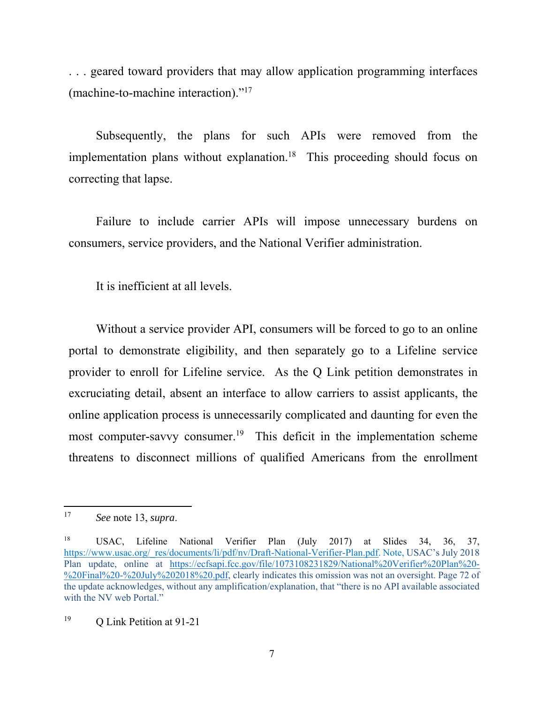. . . geared toward providers that may allow application programming interfaces (machine-to-machine interaction)."17

Subsequently, the plans for such APIs were removed from the implementation plans without explanation.<sup>18</sup> This proceeding should focus on correcting that lapse.

Failure to include carrier APIs will impose unnecessary burdens on consumers, service providers, and the National Verifier administration.

It is inefficient at all levels.

Without a service provider API, consumers will be forced to go to an online portal to demonstrate eligibility, and then separately go to a Lifeline service provider to enroll for Lifeline service. As the Q Link petition demonstrates in excruciating detail, absent an interface to allow carriers to assist applicants, the online application process is unnecessarily complicated and daunting for even the most computer-savvy consumer.<sup>19</sup> This deficit in the implementation scheme threatens to disconnect millions of qualified Americans from the enrollment

<sup>17</sup> *See* note 13, *supra*.

<sup>18</sup> USAC, Lifeline National Verifier Plan (July 2017) at Slides 34, 36, 37, https://www.usac.org/\_res/documents/li/pdf/nv/Draft-National-Verifier-Plan.pdf. Note, USAC's July 2018 Plan update, online at https://ecfsapi.fcc.gov/file/1073108231829/National%20Verifier%20Plan%20- %20Final%20-%20July%202018%20.pdf, clearly indicates this omission was not an oversight. Page 72 of the update acknowledges, without any amplification/explanation, that "there is no API available associated with the NV web Portal."

<sup>&</sup>lt;sup>19</sup> O Link Petition at 91-21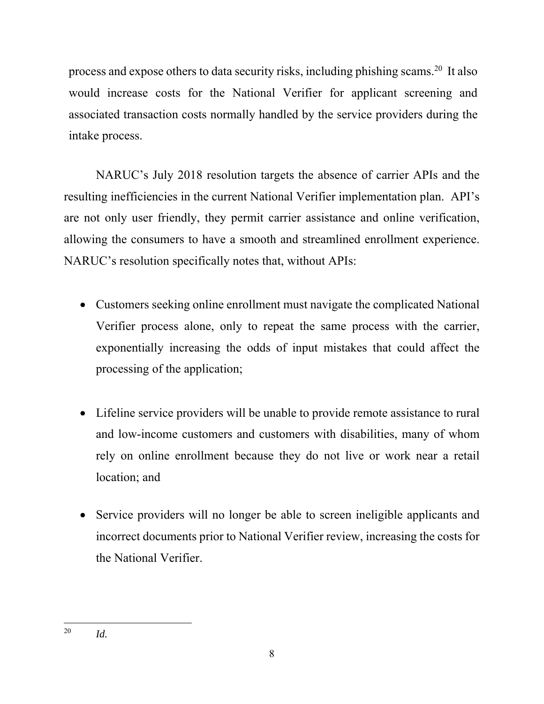process and expose others to data security risks, including phishing scams.20 It also would increase costs for the National Verifier for applicant screening and associated transaction costs normally handled by the service providers during the intake process.

NARUC's July 2018 resolution targets the absence of carrier APIs and the resulting inefficiencies in the current National Verifier implementation plan. API's are not only user friendly, they permit carrier assistance and online verification, allowing the consumers to have a smooth and streamlined enrollment experience. NARUC's resolution specifically notes that, without APIs:

- Customers seeking online enrollment must navigate the complicated National Verifier process alone, only to repeat the same process with the carrier, exponentially increasing the odds of input mistakes that could affect the processing of the application;
- Lifeline service providers will be unable to provide remote assistance to rural and low-income customers and customers with disabilities, many of whom rely on online enrollment because they do not live or work near a retail location; and
- Service providers will no longer be able to screen ineligible applicants and incorrect documents prior to National Verifier review, increasing the costs for the National Verifier.

 20 *Id.*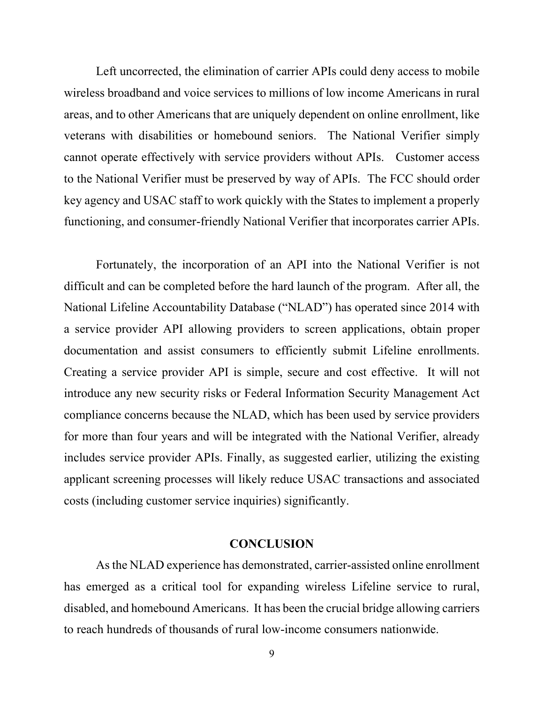Left uncorrected, the elimination of carrier APIs could deny access to mobile wireless broadband and voice services to millions of low income Americans in rural areas, and to other Americans that are uniquely dependent on online enrollment, like veterans with disabilities or homebound seniors. The National Verifier simply cannot operate effectively with service providers without APIs. Customer access to the National Verifier must be preserved by way of APIs. The FCC should order key agency and USAC staff to work quickly with the States to implement a properly functioning, and consumer-friendly National Verifier that incorporates carrier APIs.

Fortunately, the incorporation of an API into the National Verifier is not difficult and can be completed before the hard launch of the program. After all, the National Lifeline Accountability Database ("NLAD") has operated since 2014 with a service provider API allowing providers to screen applications, obtain proper documentation and assist consumers to efficiently submit Lifeline enrollments. Creating a service provider API is simple, secure and cost effective. It will not introduce any new security risks or Federal Information Security Management Act compliance concerns because the NLAD, which has been used by service providers for more than four years and will be integrated with the National Verifier, already includes service provider APIs. Finally, as suggested earlier, utilizing the existing applicant screening processes will likely reduce USAC transactions and associated costs (including customer service inquiries) significantly.

### **CONCLUSION**

As the NLAD experience has demonstrated, carrier-assisted online enrollment has emerged as a critical tool for expanding wireless Lifeline service to rural, disabled, and homebound Americans. It has been the crucial bridge allowing carriers to reach hundreds of thousands of rural low-income consumers nationwide.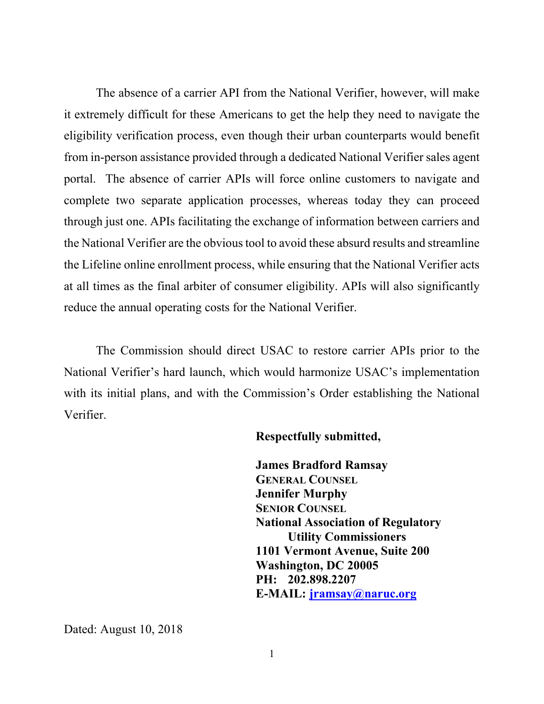The absence of a carrier API from the National Verifier, however, will make it extremely difficult for these Americans to get the help they need to navigate the eligibility verification process, even though their urban counterparts would benefit from in-person assistance provided through a dedicated National Verifier sales agent portal. The absence of carrier APIs will force online customers to navigate and complete two separate application processes, whereas today they can proceed through just one. APIs facilitating the exchange of information between carriers and the National Verifier are the obvious tool to avoid these absurd results and streamline the Lifeline online enrollment process, while ensuring that the National Verifier acts at all times as the final arbiter of consumer eligibility. APIs will also significantly reduce the annual operating costs for the National Verifier.

The Commission should direct USAC to restore carrier APIs prior to the National Verifier's hard launch, which would harmonize USAC's implementation with its initial plans, and with the Commission's Order establishing the National Verifier.

#### **Respectfully submitted,**

 **James Bradford Ramsay GENERAL COUNSEL Jennifer Murphy SENIOR COUNSEL National Association of Regulatory Utility Commissioners 1101 Vermont Avenue, Suite 200 Washington, DC 20005 PH: 202.898.2207 E-MAIL: jramsay@naruc.org**

Dated: August 10, 2018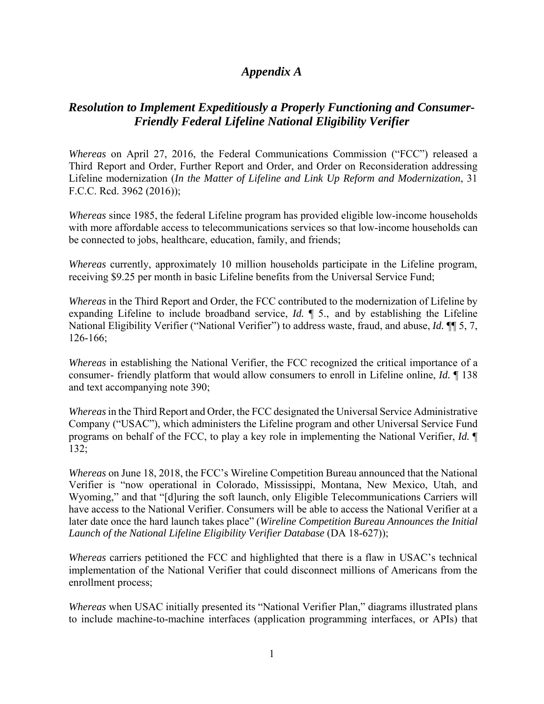## *Appendix A*

## *Resolution to Implement Expeditiously a Properly Functioning and Consumer-Friendly Federal Lifeline National Eligibility Verifier*

*Whereas* on April 27, 2016, the Federal Communications Commission ("FCC") released a Third Report and Order, Further Report and Order, and Order on Reconsideration addressing Lifeline modernization (*In the Matter of Lifeline and Link Up Reform and Modernization*, 31 F.C.C. Rcd. 3962 (2016));

*Whereas* since 1985, the federal Lifeline program has provided eligible low-income households with more affordable access to telecommunications services so that low-income households can be connected to jobs, healthcare, education, family, and friends;

*Whereas* currently, approximately 10 million households participate in the Lifeline program, receiving \$9.25 per month in basic Lifeline benefits from the Universal Service Fund;

*Whereas* in the Third Report and Order, the FCC contributed to the modernization of Lifeline by expanding Lifeline to include broadband service, *Id.* ¶ 5., and by establishing the Lifeline National Eligibility Verifier ("National Verifier") to address waste, fraud, and abuse, *Id.* ¶¶ 5, 7, 126-166;

*Whereas* in establishing the National Verifier, the FCC recognized the critical importance of a consumer- friendly platform that would allow consumers to enroll in Lifeline online, *Id.* ¶ 138 and text accompanying note 390;

*Whereas* in the Third Report and Order, the FCC designated the Universal Service Administrative Company ("USAC"), which administers the Lifeline program and other Universal Service Fund programs on behalf of the FCC, to play a key role in implementing the National Verifier, *Id.* ¶ 132;

*Whereas* on June 18, 2018, the FCC's Wireline Competition Bureau announced that the National Verifier is "now operational in Colorado, Mississippi, Montana, New Mexico, Utah, and Wyoming," and that "[d]uring the soft launch, only Eligible Telecommunications Carriers will have access to the National Verifier. Consumers will be able to access the National Verifier at a later date once the hard launch takes place" (*Wireline Competition Bureau Announces the Initial Launch of the National Lifeline Eligibility Verifier Database* (DA 18-627));

*Whereas* carriers petitioned the FCC and highlighted that there is a flaw in USAC's technical implementation of the National Verifier that could disconnect millions of Americans from the enrollment process;

*Whereas* when USAC initially presented its "National Verifier Plan," diagrams illustrated plans to include machine-to-machine interfaces (application programming interfaces, or APIs) that